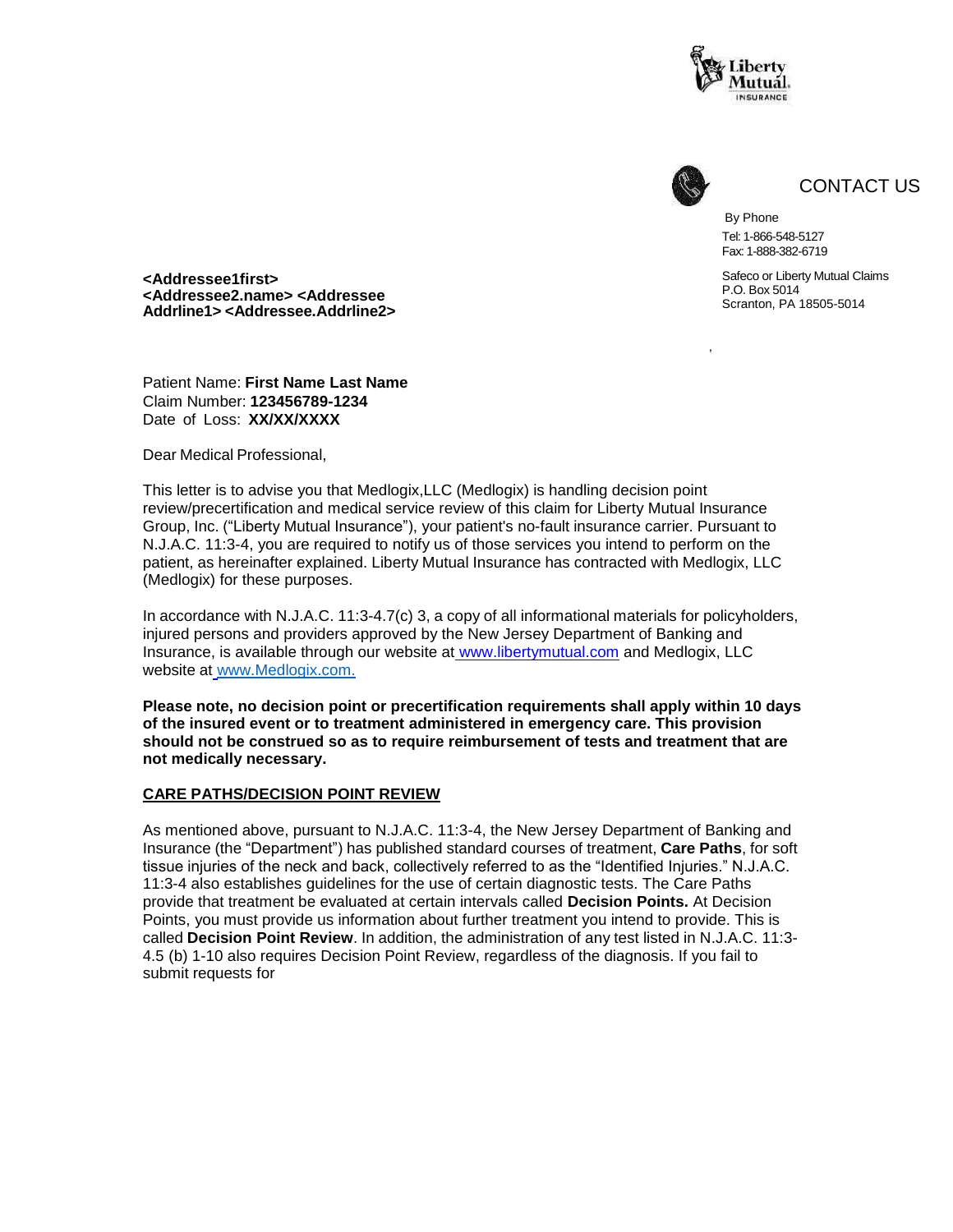



,

CONTACT US

By Phone Tel: 1-866-548-5127 Fax: 1-888-382-6719

Safeco or Liberty Mutual Claims P.O. Box 5014 Scranton, PA 18505-5014

**<Addressee1first> <Addressee2.name> <Addressee Addrline1> <Addressee.Addrline2>**

Patient Name: **First Name Last Name** Claim Number: **123456789-1234** Date of Loss: **XX/XX/XXXX**

Dear Medical Professional,

This letter is to advise you that Medlogix,LLC (Medlogix) is handling decision point review/precertification and medical service review of this claim for Liberty Mutual Insurance Group, Inc. ("Liberty Mutual Insurance"), your patient's no-fault insurance carrier. Pursuant to N.J.A.C. 11:3-4, you are required to notify us of those services you intend to perform on the patient, as hereinafter explained. Liberty Mutual Insurance has contracted with Medlogix, LLC (Medlogix) for these purposes.

In accordance with N.J.A.C. 11:3-4.7(c) 3, a copy of all informational materials for policyholders, injured persons and providers approved by the New Jersey Department of Banking and Insurance, is available through our website at [www.libertymutual.com](http://www.libertymutual.com/) and Medlogix, LLC website at [www.Medlogix.com.](http://www.medlogix.com/)

**Please note, no decision point or precertification requirements shall apply within 10 days of the insured event or to treatment administered in emergency care. This provision should not be construed so as to require reimbursement of tests and treatment that are not medically necessary.**

#### **CARE PATHS/DECISION POINT REVIEW**

As mentioned above, pursuant to N.J.A.C. 11:3-4, the New Jersey Department of Banking and Insurance (the "Department") has published standard courses of treatment, **Care Paths**, for soft tissue injuries of the neck and back, collectively referred to as the "Identified Injuries." N.J.A.C. 11:3-4 also establishes guidelines for the use of certain diagnostic tests. The Care Paths provide that treatment be evaluated at certain intervals called **Decision Points.** At Decision Points, you must provide us information about further treatment you intend to provide. This is called **Decision Point Review**. In addition, the administration of any test listed in N.J.A.C. 11:3- 4.5 (b) 1-10 also requires Decision Point Review, regardless of the diagnosis. If you fail to submit requests for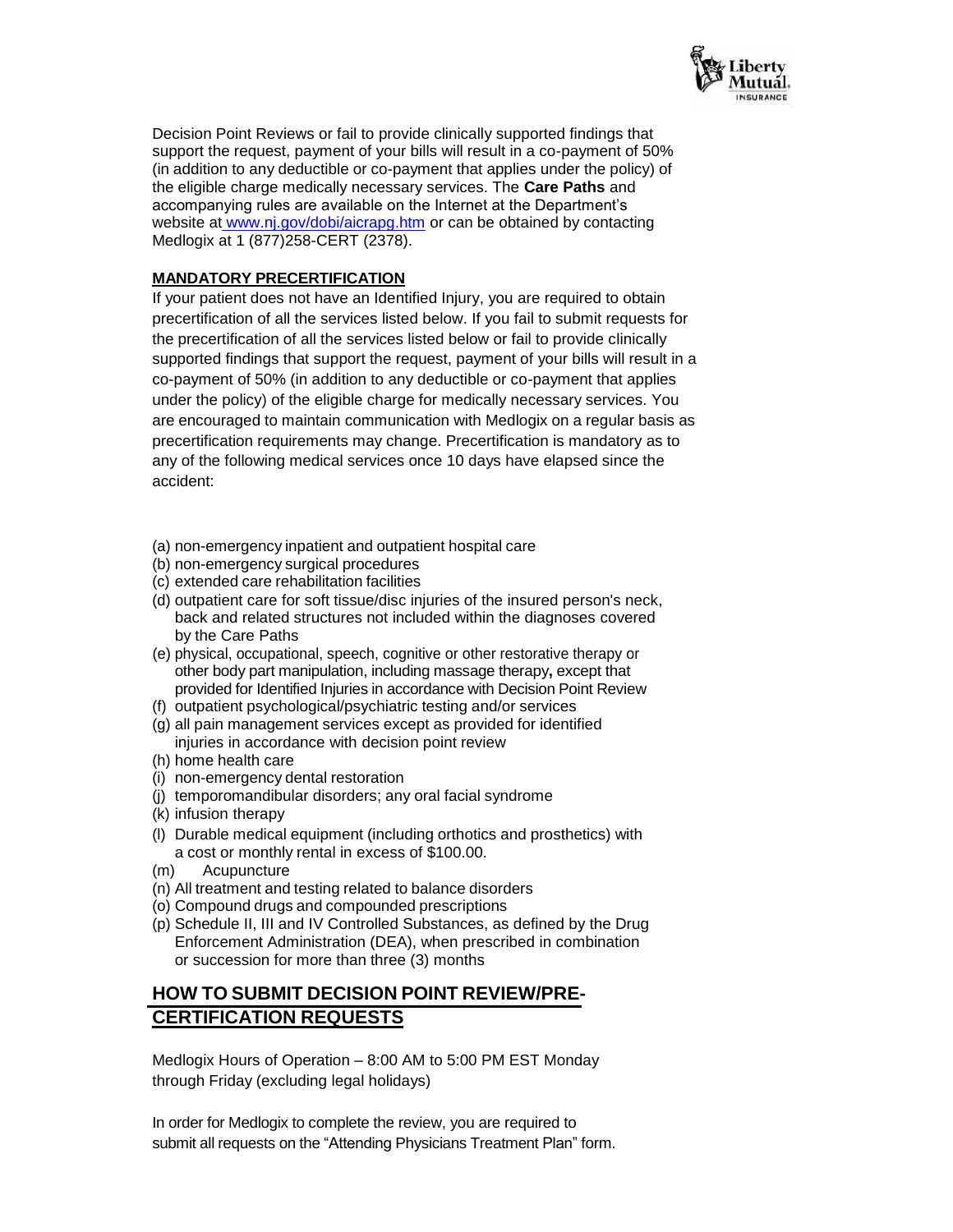

Decision Point Reviews or fail to provide clinically supported findings that support the request, payment of your bills will result in a co-payment of 50% (in addition to any deductible or co-payment that applies under the policy) of the eligible charge medically necessary services. The **Care Paths** and accompanying rules are available on the Internet at the Department's website at [www.nj.gov/dobi/aicrapg.htm](http://www.nj.gov/dobi/aicrapg.htm) or can be obtained by contacting Medlogix at 1 (877)258-CERT (2378).

## **MANDATORY PRECERTIFICATION**

If your patient does not have an Identified Injury, you are required to obtain precertification of all the services listed below. If you fail to submit requests for the precertification of all the services listed below or fail to provide clinically supported findings that support the request, payment of your bills will result in a co-payment of 50% (in addition to any deductible or co-payment that applies under the policy) of the eligible charge for medically necessary services. You are encouraged to maintain communication with Medlogix on a regular basis as precertification requirements may change. Precertification is mandatory as to any of the following medical services once 10 days have elapsed since the accident:

- (a) non-emergency inpatient and outpatient hospital care
- (b) non-emergency surgical procedures
- (c) extended care rehabilitation facilities
- (d) outpatient care for soft tissue/disc injuries of the insured person's neck, back and related structures not included within the diagnoses covered by the Care Paths
- (e) physical, occupational, speech, cognitive or other restorative therapy or other body part manipulation, including massage therapy**,** except that provided for Identified Injuries in accordance with Decision Point Review
- (f) outpatient psychological/psychiatric testing and/or services
- (g) all pain management services except as provided for identified injuries in accordance with decision point review
- (h) home health care
- (i) non-emergency dental restoration
- (j) temporomandibular disorders; any oral facial syndrome
- (k) infusion therapy
- (l) Durable medical equipment (including orthotics and prosthetics) with a cost or monthly rental in excess of \$100.00.
- (m) Acupuncture
- (n) All treatment and testing related to balance disorders
- (o) Compound drugs and compounded prescriptions
- (p) Schedule II, III and IV Controlled Substances, as defined by the Drug Enforcement Administration (DEA), when prescribed in combination or succession for more than three (3) months

## **HOW TO SUBMIT DECISION POINT REVIEW/PRE-CERTIFICATION REQUESTS**

Medlogix Hours of Operation – 8:00 AM to 5:00 PM EST Monday through Friday (excluding legal holidays)

In order for Medlogix to complete the review, you are required to submit all requests on the "Attending Physicians Treatment Plan" form.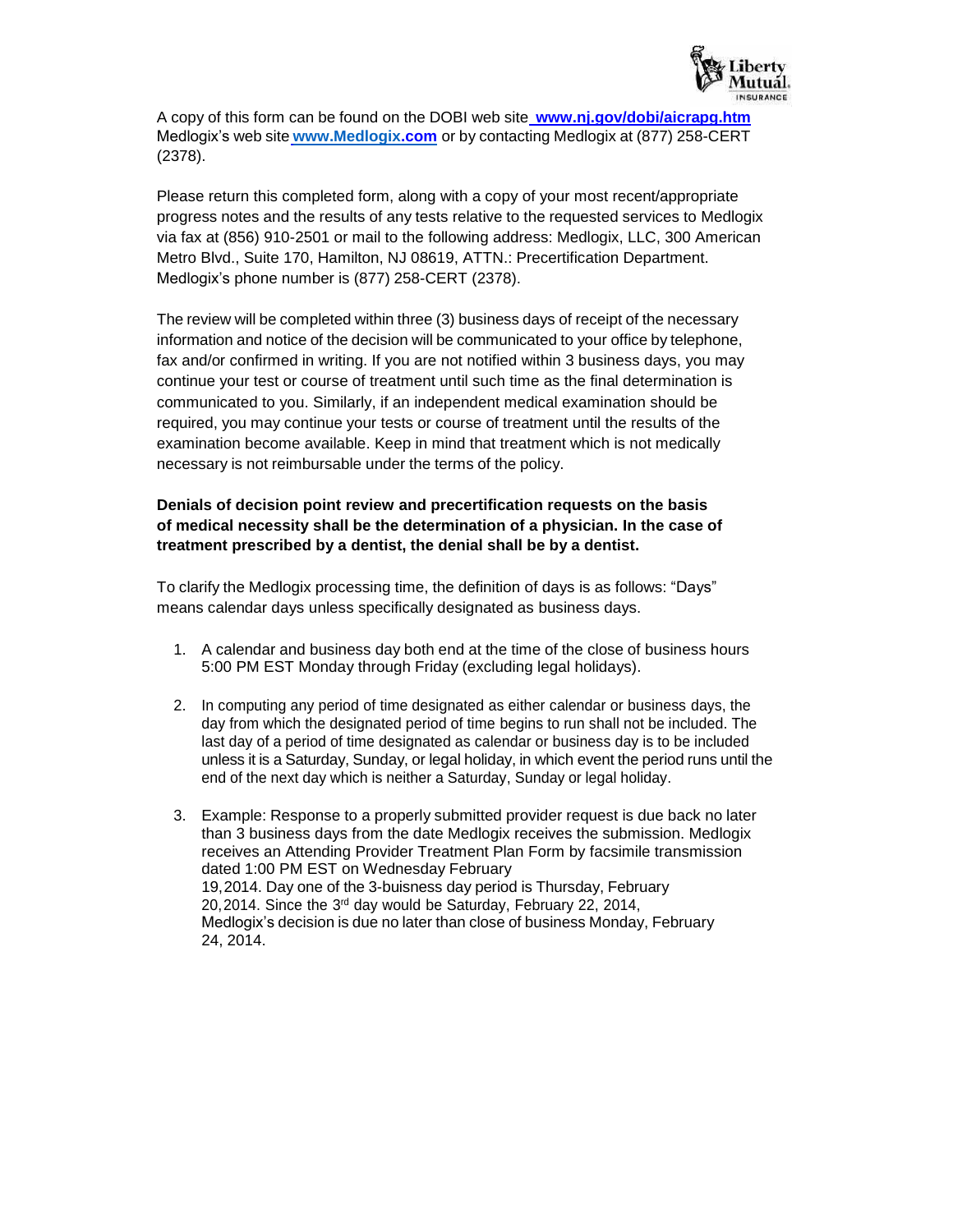

A copy of this form can be found on the DOBI web site **[www.nj.gov/dobi/aicrapg.htm](http://www.nj.gov/dobi/aicrapg.htm)** Medlogix's web site **[www.Medlogix.com](http://www.medlogix.com/)** or by contacting Medlogix at (877) 258-CERT (2378).

Please return this completed form, along with a copy of your most recent/appropriate progress notes and the results of any tests relative to the requested services to Medlogix via fax at (856) 910-2501 or mail to the following address: Medlogix, LLC, 300 American Metro Blvd., Suite 170, Hamilton, NJ 08619, ATTN.: Precertification Department. Medlogix's phone number is (877) 258-CERT (2378).

The review will be completed within three (3) business days of receipt of the necessary information and notice of the decision will be communicated to your office by telephone, fax and/or confirmed in writing. If you are not notified within 3 business days, you may continue your test or course of treatment until such time as the final determination is communicated to you. Similarly, if an independent medical examination should be required, you may continue your tests or course of treatment until the results of the examination become available. Keep in mind that treatment which is not medically necessary is not reimbursable under the terms of the policy.

## **Denials of decision point review and precertification requests on the basis of medical necessity shall be the determination of a physician. In the case of treatment prescribed by a dentist, the denial shall be by a dentist.**

To clarify the Medlogix processing time, the definition of days is as follows: "Days" means calendar days unless specifically designated as business days.

- 1. A calendar and business day both end at the time of the close of business hours 5:00 PM EST Monday through Friday (excluding legal holidays).
- 2. In computing any period of time designated as either calendar or business days, the day from which the designated period of time begins to run shall not be included. The last day of a period of time designated as calendar or business day is to be included unless it is a Saturday, Sunday, or legal holiday, in which event the period runs until the end of the next day which is neither a Saturday, Sunday or legal holiday.
- 3. Example: Response to a properly submitted provider request is due back no later than 3 business days from the date Medlogix receives the submission. Medlogix receives an Attending Provider Treatment Plan Form by facsimile transmission dated 1:00 PM EST on Wednesday February 19,2014. Day one of the 3-buisness day period is Thursday, February 20,2014. Since the  $3<sup>rd</sup>$  day would be Saturday, February 22, 2014, Medlogix's decision is due no later than close of business Monday, February 24, 2014.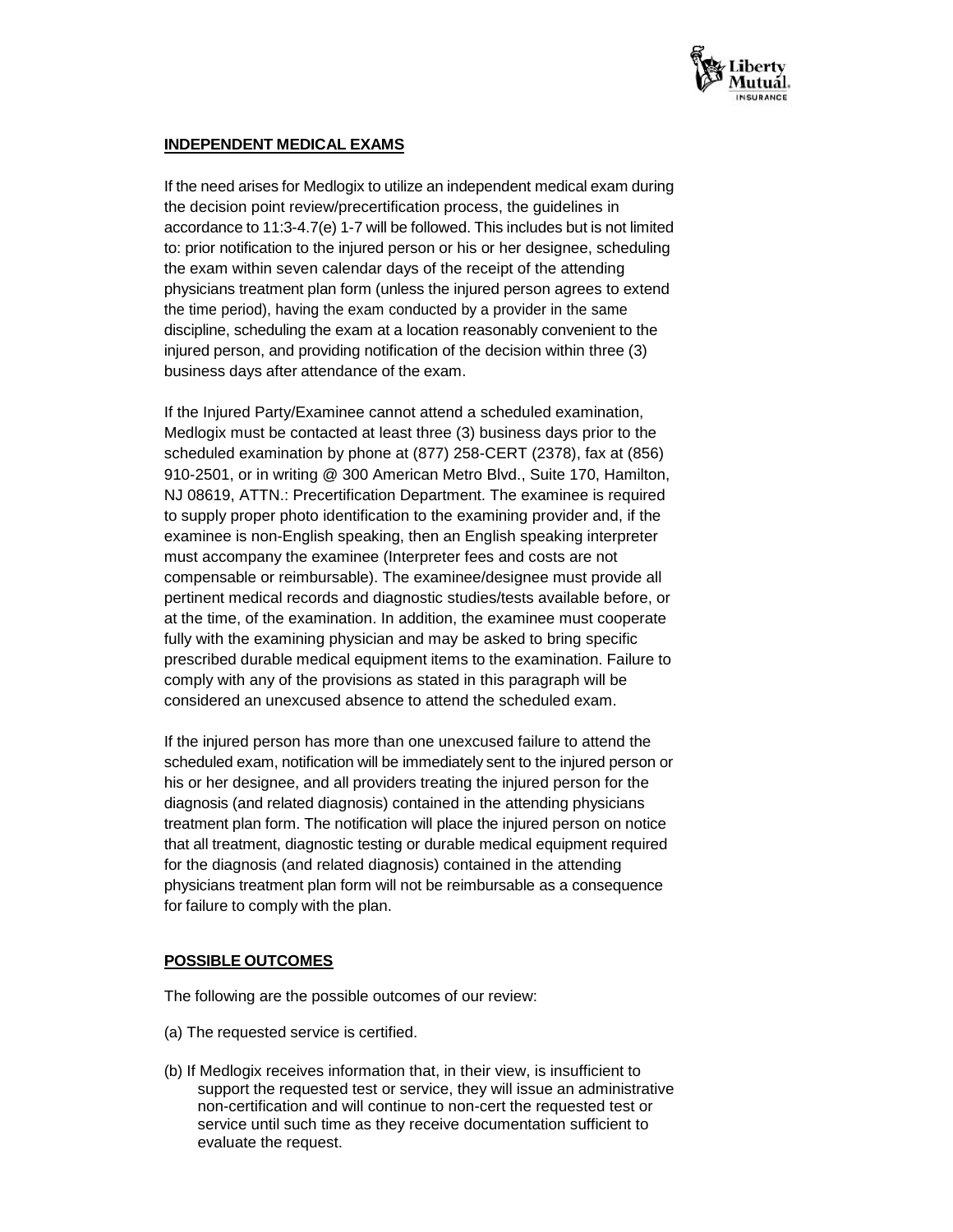

## **INDEPENDENT MEDICAL EXAMS**

If the need arises for Medlogix to utilize an independent medical exam during the decision point review/precertification process, the guidelines in accordance to 11:3-4.7(e) 1-7 will be followed. This includes but is not limited to: prior notification to the injured person or his or her designee, scheduling the exam within seven calendar days of the receipt of the attending physicians treatment plan form (unless the injured person agrees to extend the time period), having the exam conducted by a provider in the same discipline, scheduling the exam at a location reasonably convenient to the injured person, and providing notification of the decision within three (3) business days after attendance of the exam.

If the Injured Party/Examinee cannot attend a scheduled examination, Medlogix must be contacted at least three (3) business days prior to the scheduled examination by phone at (877) 258-CERT (2378), fax at (856) 910-2501, or in writing @ 300 American Metro Blvd., Suite 170, Hamilton, NJ 08619, ATTN.: Precertification Department. The examinee is required to supply proper photo identification to the examining provider and, if the examinee is non-English speaking, then an English speaking interpreter must accompany the examinee (Interpreter fees and costs are not compensable or reimbursable). The examinee/designee must provide all pertinent medical records and diagnostic studies/tests available before, or at the time, of the examination. In addition, the examinee must cooperate fully with the examining physician and may be asked to bring specific prescribed durable medical equipment items to the examination. Failure to comply with any of the provisions as stated in this paragraph will be considered an unexcused absence to attend the scheduled exam.

If the injured person has more than one unexcused failure to attend the scheduled exam, notification will be immediately sent to the injured person or his or her designee, and all providers treating the injured person for the diagnosis (and related diagnosis) contained in the attending physicians treatment plan form. The notification will place the injured person on notice that all treatment, diagnostic testing or durable medical equipment required for the diagnosis (and related diagnosis) contained in the attending physicians treatment plan form will not be reimbursable as a consequence for failure to comply with the plan.

## **POSSIBLE OUTCOMES**

The following are the possible outcomes of our review:

- (a) The requested service is certified.
- (b) If Medlogix receives information that, in their view, is insufficient to support the requested test or service, they will issue an administrative non-certification and will continue to non-cert the requested test or service until such time as they receive documentation sufficient to evaluate the request.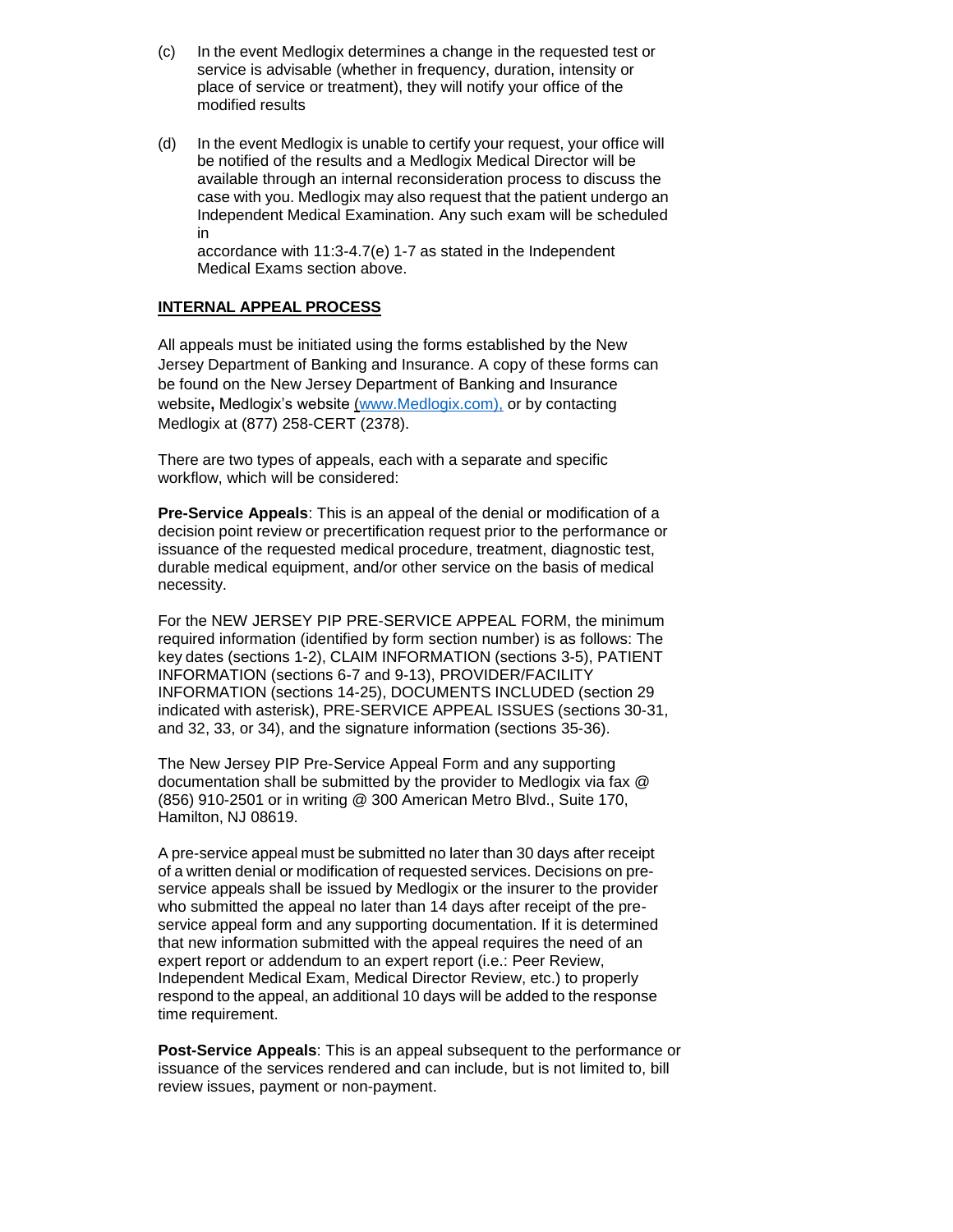- (c) In the event Medlogix determines a change in the requested test or service is advisable (whether in frequency, duration, intensity or place of service or treatment), they will notify your office of the modified results
- (d) In the event Medlogix is unable to certify your request, your office will be notified of the results and a Medlogix Medical Director will be available through an internal reconsideration process to discuss the case with you. Medlogix may also request that the patient undergo an Independent Medical Examination. Any such exam will be scheduled in

accordance with 11:3-4.7(e) 1-7 as stated in the Independent Medical Exams section above.

#### **INTERNAL APPEAL PROCESS**

All appeals must be initiated using the forms established by the New Jersey Department of Banking and Insurance. A copy of these forms can be found on the New Jersey Department of Banking and Insurance website**,** Medlogix's website (www.Medlogix.com), or by contacting Medlogix at (877) 258-CERT (2378).

There are two types of appeals, each with a separate and specific workflow, which will be considered:

**Pre-Service Appeals**: This is an appeal of the denial or modification of a decision point review or precertification request prior to the performance or issuance of the requested medical procedure, treatment, diagnostic test, durable medical equipment, and/or other service on the basis of medical necessity.

For the NEW JERSEY PIP PRE-SERVICE APPEAL FORM, the minimum required information (identified by form section number) is as follows: The key dates (sections 1-2), CLAIM INFORMATION (sections 3-5), PATIENT INFORMATION (sections 6-7 and 9-13), PROVIDER/FACILITY INFORMATION (sections 14-25), DOCUMENTS INCLUDED (section 29 indicated with asterisk), PRE-SERVICE APPEAL ISSUES (sections 30-31, and 32, 33, or 34), and the signature information (sections 35-36).

The New Jersey PIP Pre-Service Appeal Form and any supporting documentation shall be submitted by the provider to Medlogix via fax @ (856) 910-2501 or in writing @ 300 American Metro Blvd., Suite 170, Hamilton, NJ 08619.

A pre-service appeal must be submitted no later than 30 days after receipt of a written denial or modification of requested services. Decisions on preservice appeals shall be issued by Medlogix or the insurer to the provider who submitted the appeal no later than 14 days after receipt of the preservice appeal form and any supporting documentation. If it is determined that new information submitted with the appeal requires the need of an expert report or addendum to an expert report (i.e.: Peer Review, Independent Medical Exam, Medical Director Review, etc.) to properly respond to the appeal, an additional 10 days will be added to the response time requirement.

**Post-Service Appeals**: This is an appeal subsequent to the performance or issuance of the services rendered and can include, but is not limited to, bill review issues, payment or non-payment.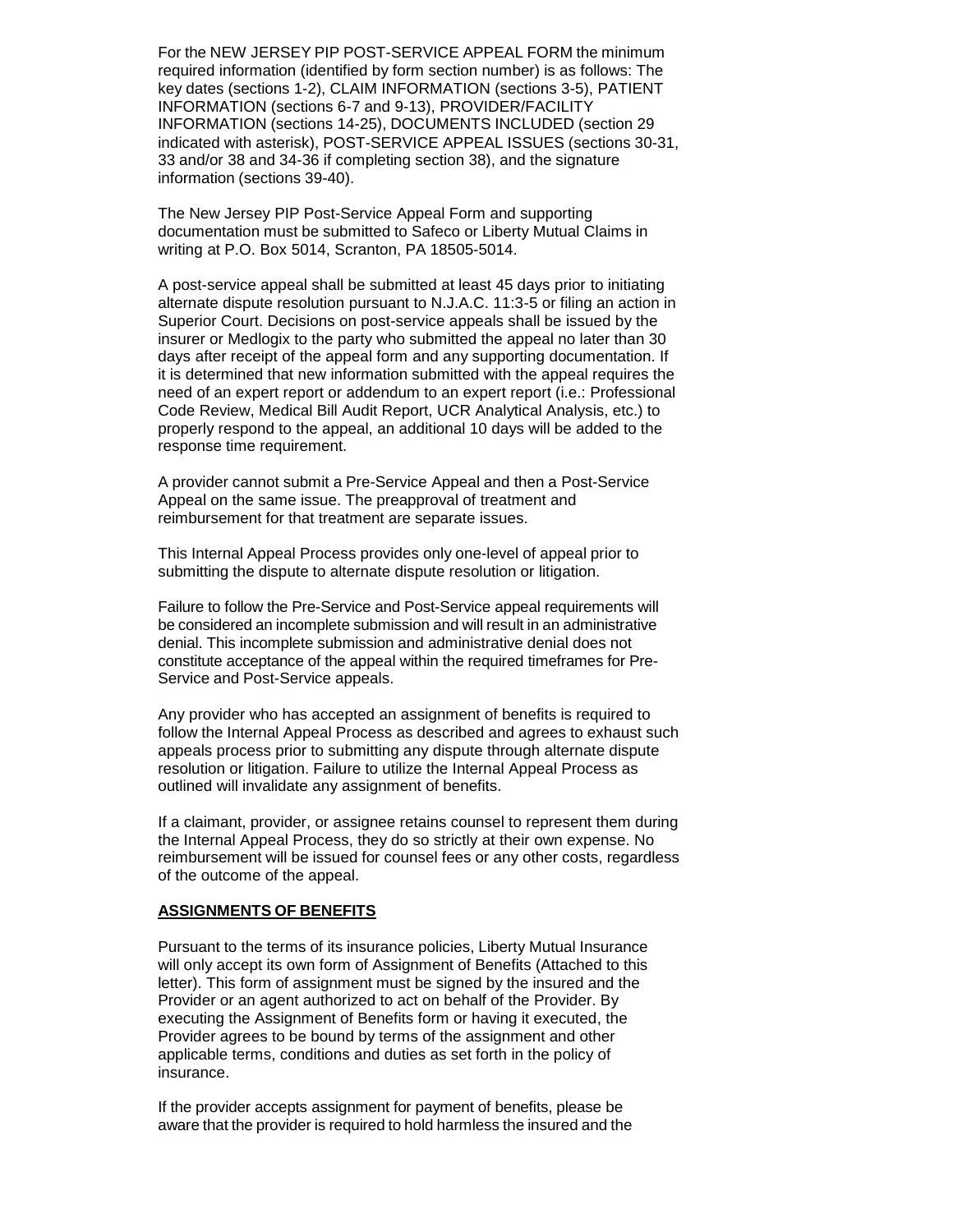For the NEW JERSEY PIP POST-SERVICE APPEAL FORM the minimum required information (identified by form section number) is as follows: The key dates (sections 1-2), CLAIM INFORMATION (sections 3-5), PATIENT INFORMATION (sections 6-7 and 9-13), PROVIDER/FACILITY INFORMATION (sections 14-25), DOCUMENTS INCLUDED (section 29 indicated with asterisk), POST-SERVICE APPEAL ISSUES (sections 30-31, 33 and/or 38 and 34-36 if completing section 38), and the signature information (sections 39-40).

The New Jersey PIP Post-Service Appeal Form and supporting documentation must be submitted to Safeco or Liberty Mutual Claims in writing at P.O. Box 5014, Scranton, PA 18505-5014.

A post-service appeal shall be submitted at least 45 days prior to initiating alternate dispute resolution pursuant to N.J.A.C. 11:3-5 or filing an action in Superior Court. Decisions on post-service appeals shall be issued by the insurer or Medlogix to the party who submitted the appeal no later than 30 days after receipt of the appeal form and any supporting documentation. If it is determined that new information submitted with the appeal requires the need of an expert report or addendum to an expert report (i.e.: Professional Code Review, Medical Bill Audit Report, UCR Analytical Analysis, etc.) to properly respond to the appeal, an additional 10 days will be added to the response time requirement.

A provider cannot submit a Pre-Service Appeal and then a Post-Service Appeal on the same issue. The preapproval of treatment and reimbursement for that treatment are separate issues.

This Internal Appeal Process provides only one-level of appeal prior to submitting the dispute to alternate dispute resolution or litigation.

Failure to follow the Pre-Service and Post-Service appeal requirements will be considered an incomplete submission and will result in an administrative denial. This incomplete submission and administrative denial does not constitute acceptance of the appeal within the required timeframes for Pre-Service and Post-Service appeals.

Any provider who has accepted an assignment of benefits is required to follow the Internal Appeal Process as described and agrees to exhaust such appeals process prior to submitting any dispute through alternate dispute resolution or litigation. Failure to utilize the Internal Appeal Process as outlined will invalidate any assignment of benefits.

If a claimant, provider, or assignee retains counsel to represent them during the Internal Appeal Process, they do so strictly at their own expense. No reimbursement will be issued for counsel fees or any other costs, regardless of the outcome of the appeal.

#### **ASSIGNMENTS OF BENEFITS**

Pursuant to the terms of its insurance policies, Liberty Mutual Insurance will only accept its own form of Assignment of Benefits (Attached to this letter). This form of assignment must be signed by the insured and the Provider or an agent authorized to act on behalf of the Provider. By executing the Assignment of Benefits form or having it executed, the Provider agrees to be bound by terms of the assignment and other applicable terms, conditions and duties as set forth in the policy of insurance.

If the provider accepts assignment for payment of benefits, please be aware that the provider is required to hold harmless the insured and the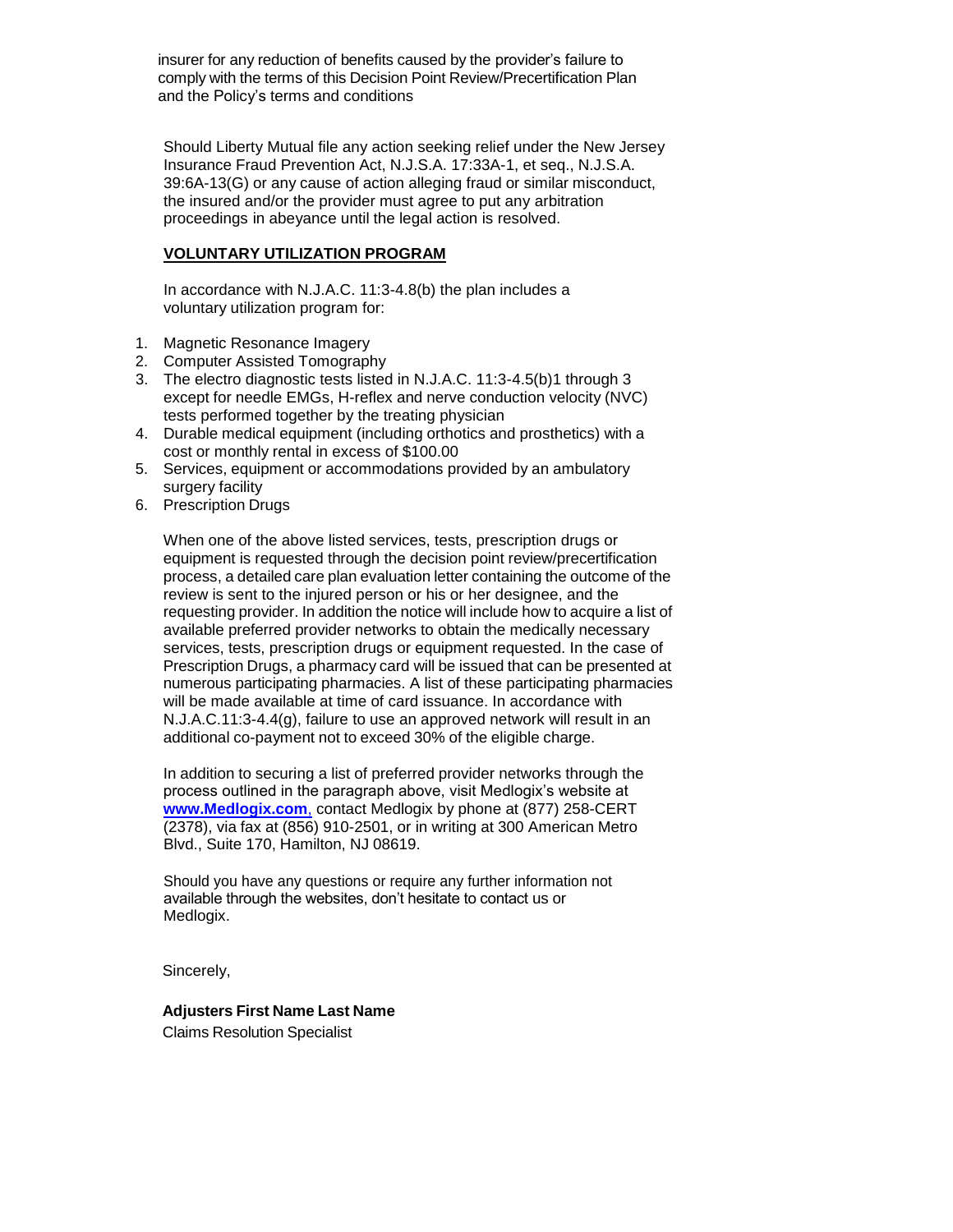insurer for any reduction of benefits caused by the provider's failure to comply with the terms of this Decision Point Review/Precertification Plan and the Policy's terms and conditions

Should Liberty Mutual file any action seeking relief under the New Jersey Insurance Fraud Prevention Act, N.J.S.A. 17:33A-1, et seq., N.J.S.A. 39:6A-13(G) or any cause of action alleging fraud or similar misconduct, the insured and/or the provider must agree to put any arbitration proceedings in abeyance until the legal action is resolved.

#### **VOLUNTARY UTILIZATION PROGRAM**

In accordance with N.J.A.C. 11:3-4.8(b) the plan includes a voluntary utilization program for:

- 1. Magnetic Resonance Imagery
- 2. Computer Assisted Tomography
- 3. The electro diagnostic tests listed in N.J.A.C. 11:3-4.5(b)1 through 3 except for needle EMGs, H-reflex and nerve conduction velocity (NVC) tests performed together by the treating physician
- 4. Durable medical equipment (including orthotics and prosthetics) with a cost or monthly rental in excess of \$100.00
- 5. Services, equipment or accommodations provided by an ambulatory surgery facility
- 6. Prescription Drugs

When one of the above listed services, tests, prescription drugs or equipment is requested through the decision point review/precertification process, a detailed care plan evaluation letter containing the outcome of the review is sent to the injured person or his or her designee, and the requesting provider. In addition the notice will include how to acquire a list of available preferred provider networks to obtain the medically necessary services, tests, prescription drugs or equipment requested. In the case of Prescription Drugs, a pharmacy card will be issued that can be presented at numerous participating pharmacies. A list of these participating pharmacies will be made available at time of card issuance. In accordance with N.J.A.C.11:3-4.4(g), failure to use an approved network will result in an additional co-payment not to exceed 30% of the eligible charge.

In addition to securing a list of preferred provider networks through the process outlined in the paragraph above, visit Medlogix's website at **[www.Medlogix.com](http://www.medlogix.com/)**, contact Medlogix by phone at (877) 258-CERT (2378), via fax at (856) 910-2501, or in writing at 300 American Metro Blvd., Suite 170, Hamilton, NJ 08619.

Should you have any questions or require any further information not available through the websites, don't hesitate to contact us or Medlogix.

Sincerely,

## **Adjusters First Name Last Name**

Claims Resolution Specialist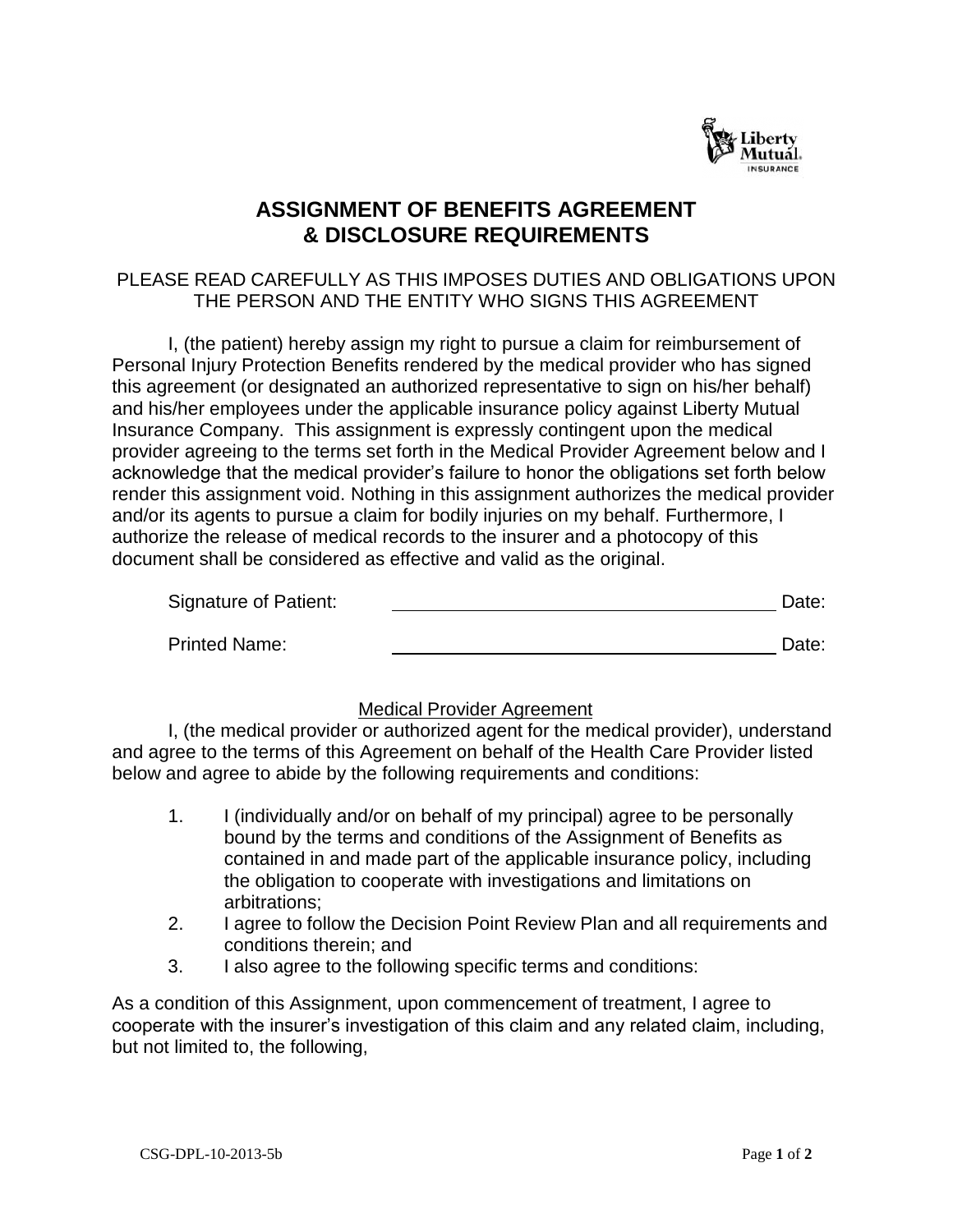

# **ASSIGNMENT OF BENEFITS AGREEMENT & DISCLOSURE REQUIREMENTS**

## PLEASE READ CAREFULLY AS THIS IMPOSES DUTIES AND OBLIGATIONS UPON THE PERSON AND THE ENTITY WHO SIGNS THIS AGREEMENT

I, (the patient) hereby assign my right to pursue a claim for reimbursement of Personal Injury Protection Benefits rendered by the medical provider who has signed this agreement (or designated an authorized representative to sign on his/her behalf) and his/her employees under the applicable insurance policy against Liberty Mutual Insurance Company. This assignment is expressly contingent upon the medical provider agreeing to the terms set forth in the Medical Provider Agreement below and I acknowledge that the medical provider's failure to honor the obligations set forth below render this assignment void. Nothing in this assignment authorizes the medical provider and/or its agents to pursue a claim for bodily injuries on my behalf. Furthermore, I authorize the release of medical records to the insurer and a photocopy of this document shall be considered as effective and valid as the original.

| Signature of Patient: | Date: |
|-----------------------|-------|
| <b>Printed Name:</b>  | Date: |

## Medical Provider Agreement

I, (the medical provider or authorized agent for the medical provider), understand and agree to the terms of this Agreement on behalf of the Health Care Provider listed below and agree to abide by the following requirements and conditions:

- 1. I (individually and/or on behalf of my principal) agree to be personally bound by the terms and conditions of the Assignment of Benefits as contained in and made part of the applicable insurance policy, including the obligation to cooperate with investigations and limitations on arbitrations;
- 2. I agree to follow the Decision Point Review Plan and all requirements and conditions therein; and
- 3. I also agree to the following specific terms and conditions:

As a condition of this Assignment, upon commencement of treatment, I agree to cooperate with the insurer's investigation of this claim and any related claim, including, but not limited to, the following,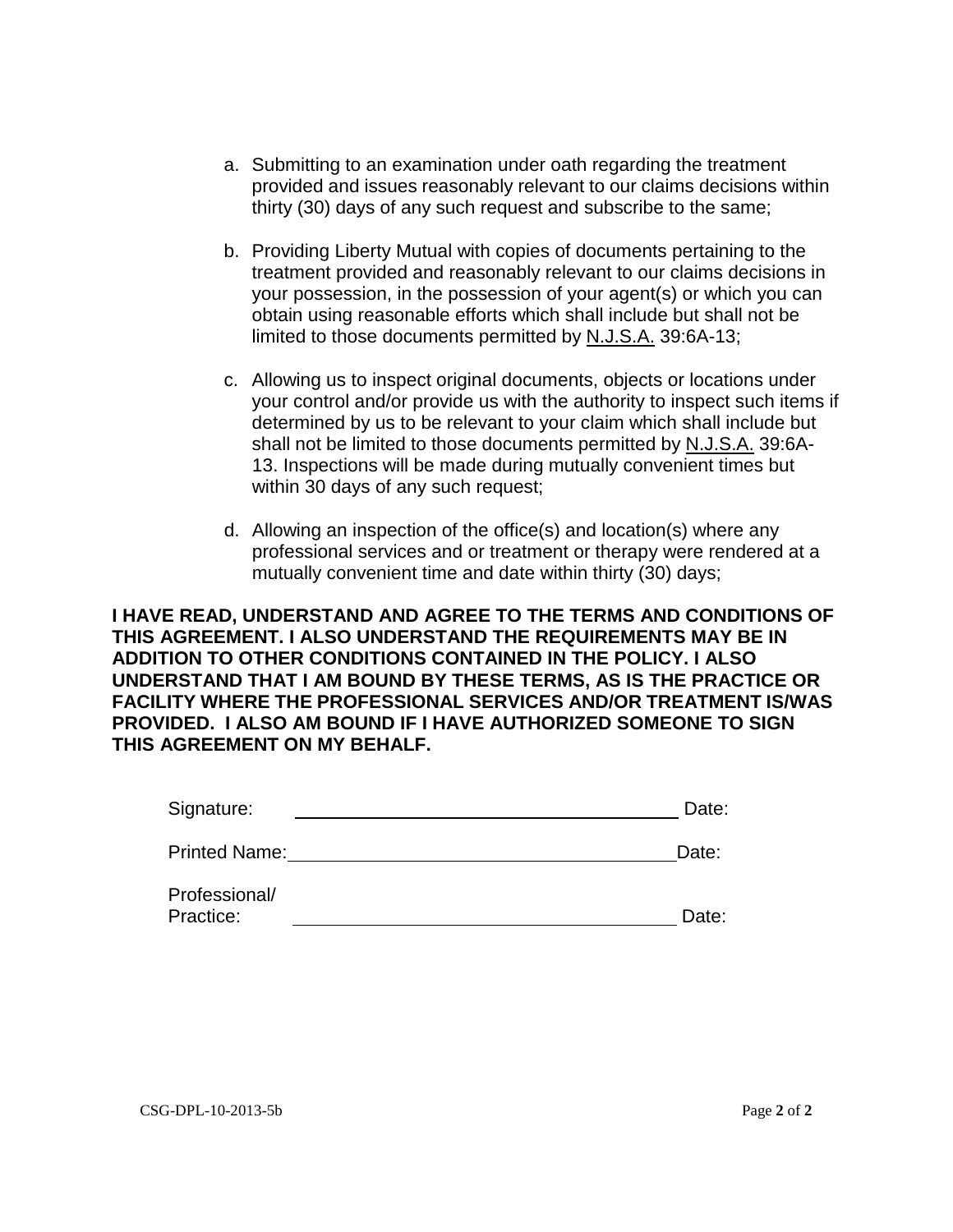- a. Submitting to an examination under oath regarding the treatment provided and issues reasonably relevant to our claims decisions within thirty (30) days of any such request and subscribe to the same;
- b. Providing Liberty Mutual with copies of documents pertaining to the treatment provided and reasonably relevant to our claims decisions in your possession, in the possession of your agent(s) or which you can obtain using reasonable efforts which shall include but shall not be limited to those documents permitted by N.J.S.A. 39:6A-13;
- c. Allowing us to inspect original documents, objects or locations under your control and/or provide us with the authority to inspect such items if determined by us to be relevant to your claim which shall include but shall not be limited to those documents permitted by N.J.S.A. 39:6A-13. Inspections will be made during mutually convenient times but within 30 days of any such request;
- d. Allowing an inspection of the office(s) and location(s) where any professional services and or treatment or therapy were rendered at a mutually convenient time and date within thirty (30) days;

**I HAVE READ, UNDERSTAND AND AGREE TO THE TERMS AND CONDITIONS OF THIS AGREEMENT. I ALSO UNDERSTAND THE REQUIREMENTS MAY BE IN ADDITION TO OTHER CONDITIONS CONTAINED IN THE POLICY. I ALSO UNDERSTAND THAT I AM BOUND BY THESE TERMS, AS IS THE PRACTICE OR FACILITY WHERE THE PROFESSIONAL SERVICES AND/OR TREATMENT IS/WAS PROVIDED. I ALSO AM BOUND IF I HAVE AUTHORIZED SOMEONE TO SIGN THIS AGREEMENT ON MY BEHALF.**

| Signature:           | Date: |
|----------------------|-------|
| <b>Printed Name:</b> | Date: |

| Professional/ |       |
|---------------|-------|
| Practice:     | Date: |
|               |       |